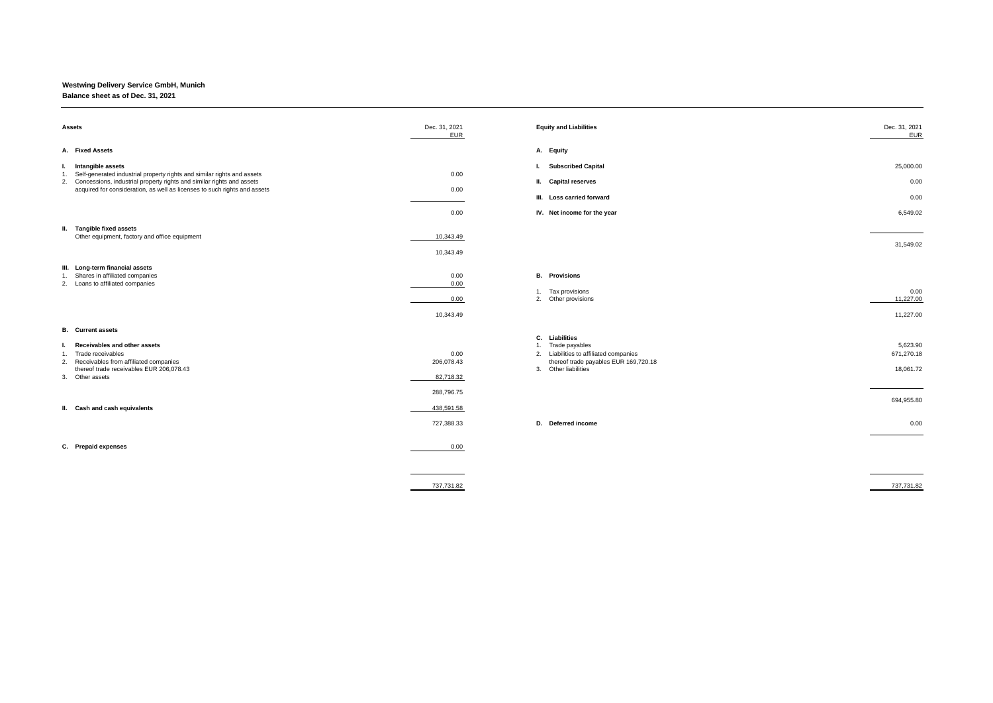## **Westwing Delivery Service GmbH, Munich**

## **Balance sheet as of Dec. 31, 2021**

| Assets                                                                                                                                                                                                                                                      | Dec. 31, 2021<br><b>EUR</b>     | <b>Equity and Liabilities</b>                                                                                                                           | Dec. 31, 2021<br><b>EUR</b>         |
|-------------------------------------------------------------------------------------------------------------------------------------------------------------------------------------------------------------------------------------------------------------|---------------------------------|---------------------------------------------------------------------------------------------------------------------------------------------------------|-------------------------------------|
| A. Fixed Assets                                                                                                                                                                                                                                             |                                 | A. Equity                                                                                                                                               |                                     |
| I. Intangible assets<br>1. Self-generated industrial property rights and similar rights and assets<br>2. Concessions, industrial property rights and similar rights and assets<br>acquired for consideration, as well as licenses to such rights and assets | 0.00<br>0.00                    | <b>Subscribed Capital</b><br>Ъ.<br>II. Capital reserves                                                                                                 | 25,000.00<br>0.00                   |
|                                                                                                                                                                                                                                                             |                                 | III. Loss carried forward                                                                                                                               | 0.00                                |
|                                                                                                                                                                                                                                                             | 0.00                            | IV. Net income for the year                                                                                                                             | 6,549.02                            |
| II. Tangible fixed assets<br>Other equipment, factory and office equipment                                                                                                                                                                                  | 10,343.49<br>10,343.49          |                                                                                                                                                         | 31,549.02                           |
| III. Long-term financial assets<br>1. Shares in affiliated companies<br>2. Loans to affiliated companies                                                                                                                                                    | 0.00<br>0.00<br>0.00            | <b>B.</b> Provisions<br>Tax provisions<br>1.<br>2. Other provisions                                                                                     | 0.00<br>11,227.00                   |
|                                                                                                                                                                                                                                                             | 10,343.49                       |                                                                                                                                                         | 11,227.00                           |
| <b>B.</b> Current assets<br>Receivables and other assets<br>Ъ.<br>1. Trade receivables<br>2. Receivables from affiliated companies<br>thereof trade receivables EUR 206,078.43<br>3. Other assets                                                           | 0.00<br>206,078.43<br>82,718.32 | C.<br>Liabilities<br>Trade payables<br>1.<br>2. Liabilities to affiliated companies<br>thereof trade payables EUR 169,720.18<br>Other liabilities<br>3. | 5,623.90<br>671,270.18<br>18,061.72 |
| II. Cash and cash equivalents                                                                                                                                                                                                                               | 288,796.75<br>438,591.58        |                                                                                                                                                         | 694,955.80                          |
|                                                                                                                                                                                                                                                             | 727,388.33                      | D. Deferred income                                                                                                                                      | 0.00                                |
| C. Prepaid expenses                                                                                                                                                                                                                                         | 0.00                            |                                                                                                                                                         |                                     |
|                                                                                                                                                                                                                                                             | 737.731.82                      |                                                                                                                                                         | 737.731.82                          |

| c. 31, 2021<br><b>EUR</b>       | <b>Equity and Liabilities</b>                                                                                                                           | Dec. 31, 2021<br><b>EUR</b>         |
|---------------------------------|---------------------------------------------------------------------------------------------------------------------------------------------------------|-------------------------------------|
|                                 | A. Equity                                                                                                                                               |                                     |
| 0.00                            | <b>Subscribed Capital</b><br>ı.<br><b>Capital reserves</b><br>Ш.                                                                                        | 25,000.00<br>0.00                   |
| 0.00                            | III. Loss carried forward                                                                                                                               | 0.00                                |
| 0.00                            | IV. Net income for the year                                                                                                                             | 6,549.02                            |
| 10,343.49<br>10,343.49          |                                                                                                                                                         | 31,549.02                           |
| 0.00<br>0.00<br>0.00            | <b>B.</b> Provisions<br>Tax provisions<br>1.<br>2.<br>Other provisions                                                                                  | 0.00<br>11,227.00                   |
| 10,343.49                       |                                                                                                                                                         | 11,227.00                           |
| 0.00<br>206,078.43<br>82,718.32 | C. Liabilities<br>Trade payables<br>1.<br>Liabilities to affiliated companies<br>2.<br>thereof trade payables EUR 169,720.18<br>Other liabilities<br>3. | 5,623.90<br>671,270.18<br>18,061.72 |
| 288,796.75                      |                                                                                                                                                         | 694,955.80                          |
| 438,591.58<br>727,388.33        | D. Deferred income                                                                                                                                      | 0.00                                |
| 0.00                            |                                                                                                                                                         |                                     |

737,731.82 737,731.82